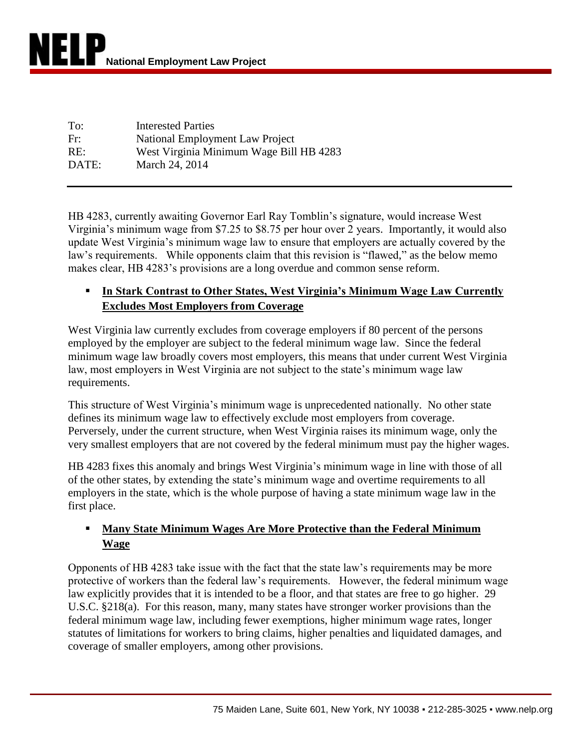| To:   | <b>Interested Parties</b>               |
|-------|-----------------------------------------|
| Fr:   | National Employment Law Project         |
| RE:   | West Virginia Minimum Wage Bill HB 4283 |
| DATE: | March 24, 2014                          |

HB 4283, currently awaiting Governor Earl Ray Tomblin's signature, would increase West Virginia's minimum wage from \$7.25 to \$8.75 per hour over 2 years. Importantly, it would also update West Virginia's minimum wage law to ensure that employers are actually covered by the law's requirements. While opponents claim that this revision is "flawed," as the below memo makes clear, HB 4283's provisions are a long overdue and common sense reform.

## **In Stark Contrast to Other States, West Virginia's Minimum Wage Law Currently Excludes Most Employers from Coverage**

West Virginia law currently excludes from coverage employers if 80 percent of the persons employed by the employer are subject to the federal minimum wage law. Since the federal minimum wage law broadly covers most employers, this means that under current West Virginia law, most employers in West Virginia are not subject to the state's minimum wage law requirements.

This structure of West Virginia's minimum wage is unprecedented nationally. No other state defines its minimum wage law to effectively exclude most employers from coverage. Perversely, under the current structure, when West Virginia raises its minimum wage, only the very smallest employers that are not covered by the federal minimum must pay the higher wages.

HB 4283 fixes this anomaly and brings West Virginia's minimum wage in line with those of all of the other states, by extending the state's minimum wage and overtime requirements to all employers in the state, which is the whole purpose of having a state minimum wage law in the first place.

## **Many State Minimum Wages Are More Protective than the Federal Minimum Wage**

Opponents of HB 4283 take issue with the fact that the state law's requirements may be more protective of workers than the federal law's requirements. However, the federal minimum wage law explicitly provides that it is intended to be a floor, and that states are free to go higher. 29 U.S.C. §218(a). For this reason, many, many states have stronger worker provisions than the federal minimum wage law, including fewer exemptions, higher minimum wage rates, longer statutes of limitations for workers to bring claims, higher penalties and liquidated damages, and coverage of smaller employers, among other provisions.